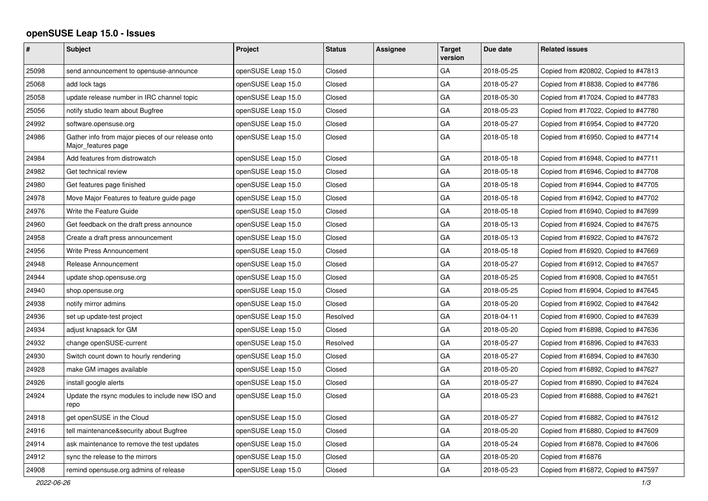## **openSUSE Leap 15.0 - Issues**

| #     | <b>Subject</b>                                                           | Project            | <b>Status</b> | <b>Assignee</b> | <b>Target</b><br>version | Due date   | <b>Related issues</b>                |
|-------|--------------------------------------------------------------------------|--------------------|---------------|-----------------|--------------------------|------------|--------------------------------------|
| 25098 | send announcement to opensuse-announce                                   | openSUSE Leap 15.0 | Closed        |                 | GA                       | 2018-05-25 | Copied from #20802, Copied to #47813 |
| 25068 | add lock tags                                                            | openSUSE Leap 15.0 | Closed        |                 | GA                       | 2018-05-27 | Copied from #18838, Copied to #47786 |
| 25058 | update release number in IRC channel topic                               | openSUSE Leap 15.0 | Closed        |                 | GA                       | 2018-05-30 | Copied from #17024, Copied to #47783 |
| 25056 | notify studio team about Bugfree                                         | openSUSE Leap 15.0 | Closed        |                 | GA                       | 2018-05-23 | Copied from #17022, Copied to #47780 |
| 24992 | software.opensuse.org                                                    | openSUSE Leap 15.0 | Closed        |                 | GA                       | 2018-05-27 | Copied from #16954, Copied to #47720 |
| 24986 | Gather info from major pieces of our release onto<br>Major_features page | openSUSE Leap 15.0 | Closed        |                 | GA                       | 2018-05-18 | Copied from #16950, Copied to #47714 |
| 24984 | Add features from distrowatch                                            | openSUSE Leap 15.0 | Closed        |                 | GA                       | 2018-05-18 | Copied from #16948, Copied to #47711 |
| 24982 | Get technical review                                                     | openSUSE Leap 15.0 | Closed        |                 | GA                       | 2018-05-18 | Copied from #16946, Copied to #47708 |
| 24980 | Get features page finished                                               | openSUSE Leap 15.0 | Closed        |                 | GA                       | 2018-05-18 | Copied from #16944, Copied to #47705 |
| 24978 | Move Major Features to feature guide page                                | openSUSE Leap 15.0 | Closed        |                 | GA                       | 2018-05-18 | Copied from #16942, Copied to #47702 |
| 24976 | Write the Feature Guide                                                  | openSUSE Leap 15.0 | Closed        |                 | GA                       | 2018-05-18 | Copied from #16940, Copied to #47699 |
| 24960 | Get feedback on the draft press announce                                 | openSUSE Leap 15.0 | Closed        |                 | GA                       | 2018-05-13 | Copied from #16924, Copied to #47675 |
| 24958 | Create a draft press announcement                                        | openSUSE Leap 15.0 | Closed        |                 | GA                       | 2018-05-13 | Copied from #16922, Copied to #47672 |
| 24956 | Write Press Announcement                                                 | openSUSE Leap 15.0 | Closed        |                 | GA                       | 2018-05-18 | Copied from #16920, Copied to #47669 |
| 24948 | Release Announcement                                                     | openSUSE Leap 15.0 | Closed        |                 | GA                       | 2018-05-27 | Copied from #16912, Copied to #47657 |
| 24944 | update shop.opensuse.org                                                 | openSUSE Leap 15.0 | Closed        |                 | GA                       | 2018-05-25 | Copied from #16908, Copied to #47651 |
| 24940 | shop.opensuse.org                                                        | openSUSE Leap 15.0 | Closed        |                 | GA                       | 2018-05-25 | Copied from #16904, Copied to #47645 |
| 24938 | notify mirror admins                                                     | openSUSE Leap 15.0 | Closed        |                 | GA                       | 2018-05-20 | Copied from #16902, Copied to #47642 |
| 24936 | set up update-test project                                               | openSUSE Leap 15.0 | Resolved      |                 | GA                       | 2018-04-11 | Copied from #16900, Copied to #47639 |
| 24934 | adjust knapsack for GM                                                   | openSUSE Leap 15.0 | Closed        |                 | GA                       | 2018-05-20 | Copied from #16898, Copied to #47636 |
| 24932 | change openSUSE-current                                                  | openSUSE Leap 15.0 | Resolved      |                 | GA                       | 2018-05-27 | Copied from #16896, Copied to #47633 |
| 24930 | Switch count down to hourly rendering                                    | openSUSE Leap 15.0 | Closed        |                 | GA                       | 2018-05-27 | Copied from #16894, Copied to #47630 |
| 24928 | make GM images available                                                 | openSUSE Leap 15.0 | Closed        |                 | GA                       | 2018-05-20 | Copied from #16892, Copied to #47627 |
| 24926 | install google alerts                                                    | openSUSE Leap 15.0 | Closed        |                 | GA                       | 2018-05-27 | Copied from #16890, Copied to #47624 |
| 24924 | Update the rsync modules to include new ISO and<br>repo                  | openSUSE Leap 15.0 | Closed        |                 | GA                       | 2018-05-23 | Copied from #16888, Copied to #47621 |
| 24918 | get openSUSE in the Cloud                                                | openSUSE Leap 15.0 | Closed        |                 | GA                       | 2018-05-27 | Copied from #16882, Copied to #47612 |
| 24916 | tell maintenance&security about Bugfree                                  | openSUSE Leap 15.0 | Closed        |                 | GA                       | 2018-05-20 | Copied from #16880, Copied to #47609 |
| 24914 | ask maintenance to remove the test updates                               | openSUSE Leap 15.0 | Closed        |                 | GA                       | 2018-05-24 | Copied from #16878, Copied to #47606 |
| 24912 | sync the release to the mirrors                                          | openSUSE Leap 15.0 | Closed        |                 | GA                       | 2018-05-20 | Copied from #16876                   |
| 24908 | remind opensuse.org admins of release                                    | openSUSE Leap 15.0 | Closed        |                 | GA                       | 2018-05-23 | Copied from #16872, Copied to #47597 |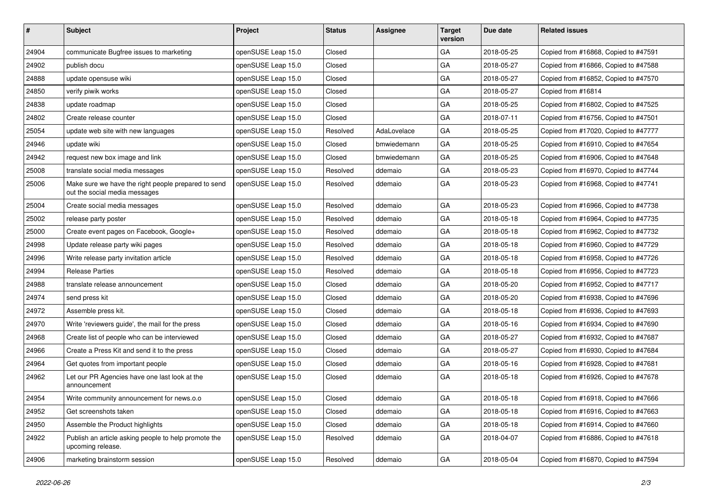| #     | <b>Subject</b>                                                                       | Project            | <b>Status</b> | <b>Assignee</b> | <b>Target</b><br>version | Due date   | <b>Related issues</b>                |
|-------|--------------------------------------------------------------------------------------|--------------------|---------------|-----------------|--------------------------|------------|--------------------------------------|
| 24904 | communicate Bugfree issues to marketing                                              | openSUSE Leap 15.0 | Closed        |                 | GA                       | 2018-05-25 | Copied from #16868, Copied to #47591 |
| 24902 | publish docu                                                                         | openSUSE Leap 15.0 | Closed        |                 | GA                       | 2018-05-27 | Copied from #16866, Copied to #47588 |
| 24888 | update opensuse wiki                                                                 | openSUSE Leap 15.0 | Closed        |                 | GA                       | 2018-05-27 | Copied from #16852, Copied to #47570 |
| 24850 | verify piwik works                                                                   | openSUSE Leap 15.0 | Closed        |                 | GA                       | 2018-05-27 | Copied from #16814                   |
| 24838 | update roadmap                                                                       | openSUSE Leap 15.0 | Closed        |                 | GA                       | 2018-05-25 | Copied from #16802, Copied to #47525 |
| 24802 | Create release counter                                                               | openSUSE Leap 15.0 | Closed        |                 | GA                       | 2018-07-11 | Copied from #16756, Copied to #47501 |
| 25054 | update web site with new languages                                                   | openSUSE Leap 15.0 | Resolved      | AdaLovelace     | GA                       | 2018-05-25 | Copied from #17020, Copied to #47777 |
| 24946 | update wiki                                                                          | openSUSE Leap 15.0 | Closed        | bmwiedemann     | GA                       | 2018-05-25 | Copied from #16910, Copied to #47654 |
| 24942 | request new box image and link                                                       | openSUSE Leap 15.0 | Closed        | bmwiedemann     | GA                       | 2018-05-25 | Copied from #16906, Copied to #47648 |
| 25008 | translate social media messages                                                      | openSUSE Leap 15.0 | Resolved      | ddemaio         | GA                       | 2018-05-23 | Copied from #16970, Copied to #47744 |
| 25006 | Make sure we have the right people prepared to send<br>out the social media messages | openSUSE Leap 15.0 | Resolved      | ddemaio         | GA                       | 2018-05-23 | Copied from #16968, Copied to #47741 |
| 25004 | Create social media messages                                                         | openSUSE Leap 15.0 | Resolved      | ddemaio         | GA                       | 2018-05-23 | Copied from #16966, Copied to #47738 |
| 25002 | release party poster                                                                 | openSUSE Leap 15.0 | Resolved      | ddemaio         | GA                       | 2018-05-18 | Copied from #16964, Copied to #47735 |
| 25000 | Create event pages on Facebook, Google+                                              | openSUSE Leap 15.0 | Resolved      | ddemaio         | GA                       | 2018-05-18 | Copied from #16962, Copied to #47732 |
| 24998 | Update release party wiki pages                                                      | openSUSE Leap 15.0 | Resolved      | ddemaio         | GA                       | 2018-05-18 | Copied from #16960, Copied to #47729 |
| 24996 | Write release party invitation article                                               | openSUSE Leap 15.0 | Resolved      | ddemaio         | GA                       | 2018-05-18 | Copied from #16958, Copied to #47726 |
| 24994 | Release Parties                                                                      | openSUSE Leap 15.0 | Resolved      | ddemaio         | GA                       | 2018-05-18 | Copied from #16956, Copied to #47723 |
| 24988 | translate release announcement                                                       | openSUSE Leap 15.0 | Closed        | ddemaio         | GA                       | 2018-05-20 | Copied from #16952, Copied to #47717 |
| 24974 | send press kit                                                                       | openSUSE Leap 15.0 | Closed        | ddemaio         | GA                       | 2018-05-20 | Copied from #16938, Copied to #47696 |
| 24972 | Assemble press kit.                                                                  | openSUSE Leap 15.0 | Closed        | ddemaio         | GA                       | 2018-05-18 | Copied from #16936, Copied to #47693 |
| 24970 | Write 'reviewers guide', the mail for the press                                      | openSUSE Leap 15.0 | Closed        | ddemaio         | GA                       | 2018-05-16 | Copied from #16934, Copied to #47690 |
| 24968 | Create list of people who can be interviewed                                         | openSUSE Leap 15.0 | Closed        | ddemaio         | GA                       | 2018-05-27 | Copied from #16932, Copied to #47687 |
| 24966 | Create a Press Kit and send it to the press                                          | openSUSE Leap 15.0 | Closed        | ddemaio         | GA                       | 2018-05-27 | Copied from #16930, Copied to #47684 |
| 24964 | Get quotes from important people                                                     | openSUSE Leap 15.0 | Closed        | ddemaio         | GA                       | 2018-05-16 | Copied from #16928, Copied to #47681 |
| 24962 | Let our PR Agencies have one last look at the<br>announcement                        | openSUSE Leap 15.0 | Closed        | ddemaio         | GA                       | 2018-05-18 | Copied from #16926, Copied to #47678 |
| 24954 | Write community announcement for news.o.o                                            | openSUSE Leap 15.0 | Closed        | ddemaio         | GA                       | 2018-05-18 | Copied from #16918, Copied to #47666 |
| 24952 | Get screenshots taken                                                                | openSUSE Leap 15.0 | Closed        | ddemaio         | GA                       | 2018-05-18 | Copied from #16916, Copied to #47663 |
| 24950 | Assemble the Product highlights                                                      | openSUSE Leap 15.0 | Closed        | ddemaio         | GA                       | 2018-05-18 | Copied from #16914, Copied to #47660 |
| 24922 | Publish an article asking people to help promote the<br>upcoming release.            | openSUSE Leap 15.0 | Resolved      | ddemaio         | GA                       | 2018-04-07 | Copied from #16886, Copied to #47618 |
| 24906 | marketing brainstorm session                                                         | openSUSE Leap 15.0 | Resolved      | ddemaio         | GA                       | 2018-05-04 | Copied from #16870, Copied to #47594 |